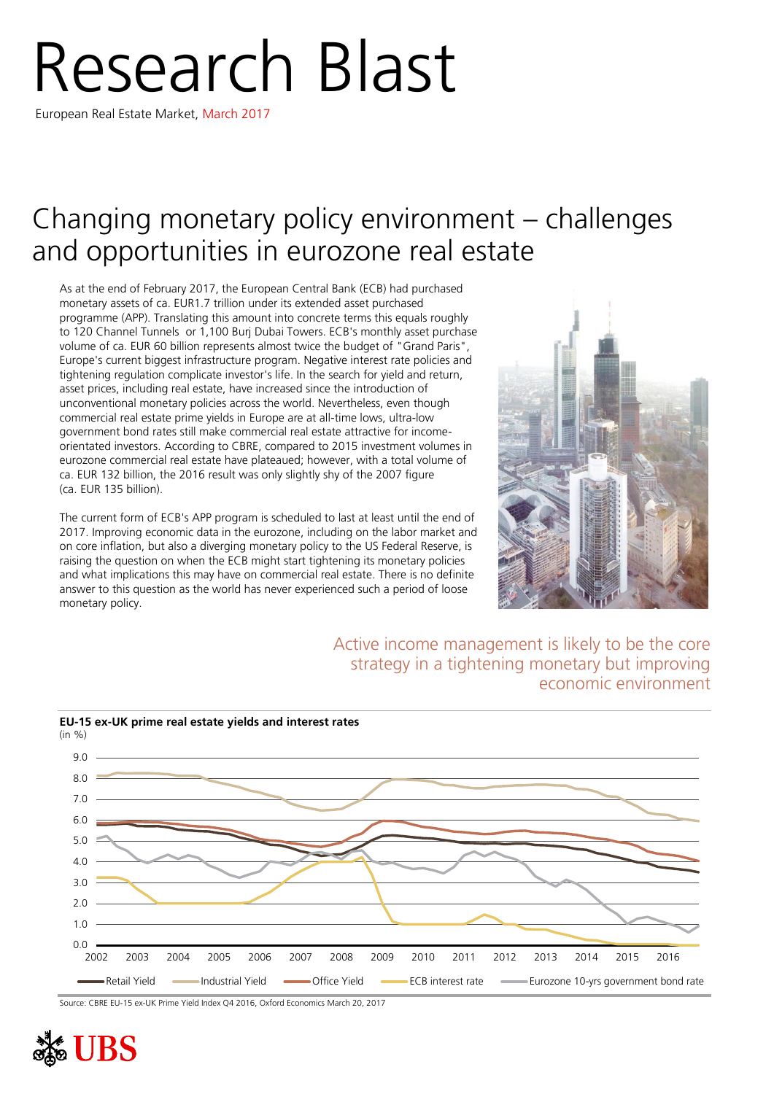# Research Blast

European Real Estate Market, March 2017

## Changing monetary policy environment – challenges and opportunities in eurozone real estate

As at the end of February 2017, the European Central Bank (ECB) had purchased monetary assets of ca. EUR1.7 trillion under its extended asset purchased programme (APP). Translating this amount into concrete terms this equals roughly to 120 Channel Tunnels or 1,100 Burj Dubai Towers. ECB's monthly asset purchase volume of ca. EUR 60 billion represents almost twice the budget of "Grand Paris", Europe's current biggest infrastructure program. Negative interest rate policies and tightening regulation complicate investor's life. In the search for yield and return, asset prices, including real estate, have increased since the introduction of unconventional monetary policies across the world. Nevertheless, even though commercial real estate prime yields in Europe are at all-time lows, ultra-low government bond rates still make commercial real estate attractive for incomeorientated investors. According to CBRE, compared to 2015 investment volumes in eurozone commercial real estate have plateaued; however, with a total volume of ca. EUR 132 billion, the 2016 result was only slightly shy of the 2007 figure (ca. EUR 135 billion).

The current form of ECB's APP program is scheduled to last at least until the end of 2017. Improving economic data in the eurozone, including on the labor market and on core inflation, but also a diverging monetary policy to the US Federal Reserve, is raising the question on when the ECB might start tightening its monetary policies and what implications this may have on commercial real estate. There is no definite answer to this question as the world has never experienced such a period of loose monetary policy.



### Active income management is likely to be the core strategy in a tightening monetary but improving economic environment



**EU-15 ex-UK prime real estate yields and interest rates**

Source: CBRE EU-15 ex-UK Prime Yield Index Q4 2016, Oxford Economics March 20, 2017

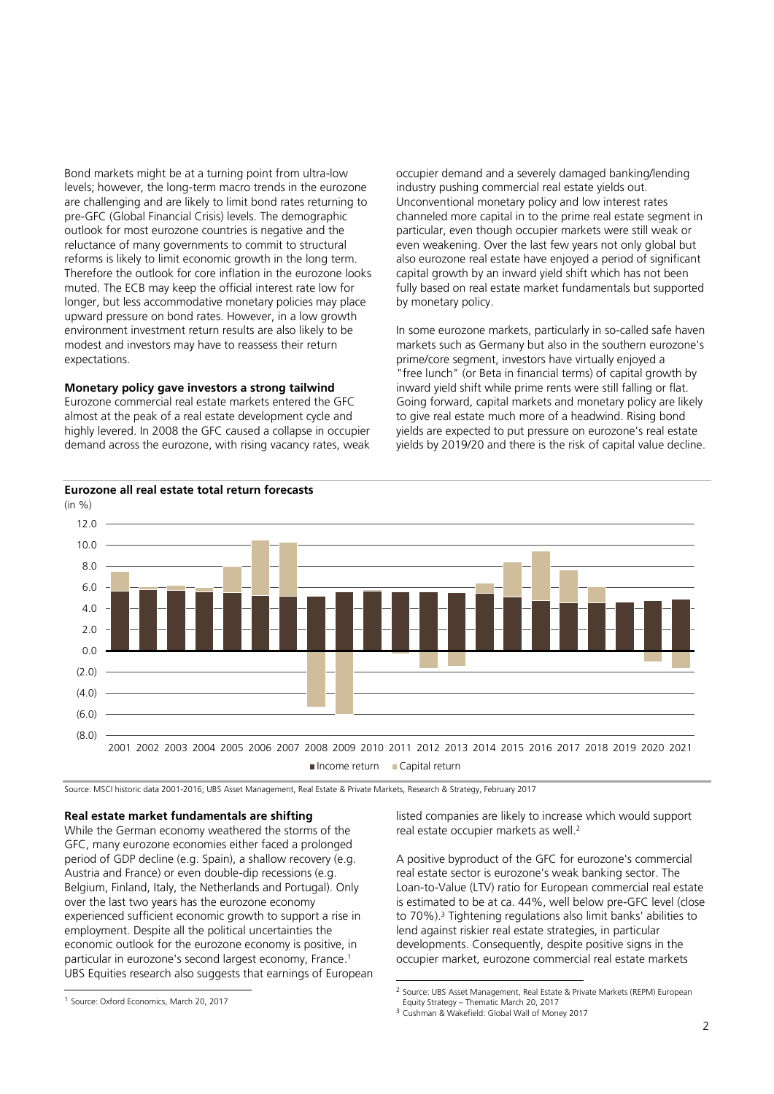Bond markets might be at a turning point from ultra-low levels; however, the long-term macro trends in the eurozone are challenging and are likely to limit bond rates returning to pre-GFC (Global Financial Crisis) levels. The demographic outlook for most eurozone countries is negative and the reluctance of many governments to commit to structural reforms is likely to limit economic growth in the long term. Therefore the outlook for core inflation in the eurozone looks muted. The ECB may keep the official interest rate low for longer, but less accommodative monetary policies may place upward pressure on bond rates. However, in a low growth environment investment return results are also likely to be modest and investors may have to reassess their return expectations.

#### **Monetary policy gave investors a strong tailwind**

Eurozone commercial real estate markets entered the GFC almost at the peak of a real estate development cycle and highly levered. In 2008 the GFC caused a collapse in occupier demand across the eurozone, with rising vacancy rates, weak occupier demand and a severely damaged banking/lending industry pushing commercial real estate yields out. Unconventional monetary policy and low interest rates channeled more capital in to the prime real estate segment in particular, even though occupier markets were still weak or even weakening. Over the last few years not only global but also eurozone real estate have enjoyed a period of significant capital growth by an inward yield shift which has not been fully based on real estate market fundamentals but supported by monetary policy.

In some eurozone markets, particularly in so-called safe haven markets such as Germany but also in the southern eurozone's prime/core segment, investors have virtually enjoyed a "free lunch" (or Beta in financial terms) of capital growth by inward yield shift while prime rents were still falling or flat. Going forward, capital markets and monetary policy are likely to give real estate much more of a headwind. Rising bond yields are expected to put pressure on eurozone's real estate yields by 2019/20 and there is the risk of capital value decline.



1

Source: MSCI historic data 2001-2016; UBS Asset Management, Real Estate & Private Markets, Research & Strategy, February 2017

#### **Real estate market fundamentals are shifting**

While the German economy weathered the storms of the GFC, many eurozone economies either faced a prolonged period of GDP decline (e.g. Spain), a shallow recovery (e.g. Austria and France) or even double-dip recessions (e.g. Belgium, Finland, Italy, the Netherlands and Portugal). Only over the last two years has the eurozone economy experienced sufficient economic growth to support a rise in employment. Despite all the political uncertainties the economic outlook for the eurozone economy is positive, in particular in eurozone's second largest economy, France. 1 UBS Equities research also suggests that earnings of European listed companies are likely to increase which would support real estate occupier markets as well.<sup>2</sup>

A positive byproduct of the GFC for eurozone's commercial real estate sector is eurozone's weak banking sector. The Loan-to-Value (LTV) ratio for European commercial real estate is estimated to be at ca. 44%, well below pre-GFC level (close to 70%).<sup>3</sup> Tightening regulations also limit banks' abilities to lend against riskier real estate strategies, in particular developments. Consequently, despite positive signs in the occupier market, eurozone commercial real estate markets

 1 Source: Oxford Economics, March 20, 2017

<sup>&</sup>lt;sup>2</sup> Source: UBS Asset Management, Real Estate & Private Markets (REPM) European Equity Strategy – Thematic March 20, 2017

<sup>3</sup> Cushman & Wakefield: Global Wall of Money 2017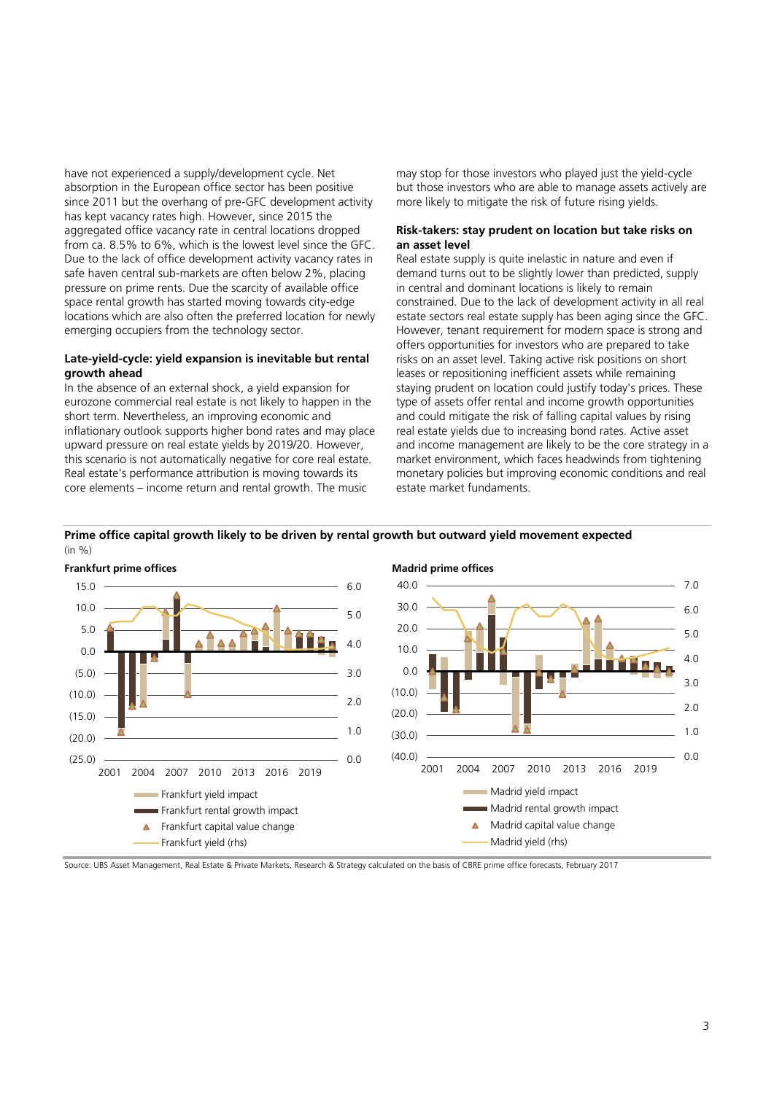have not experienced a supply/development cycle. Net absorption in the European office sector has been positive since 2011 but the overhang of pre-GFC development activity has kept vacancy rates high. However, since 2015 the aggregated office vacancy rate in central locations dropped from ca. 8.5% to 6%, which is the lowest level since the GFC. Due to the lack of office development activity vacancy rates in safe haven central sub-markets are often below 2%, placing pressure on prime rents. Due the scarcity of available office space rental growth has started moving towards city-edge locations which are also often the preferred location for newly emerging occupiers from the technology sector.

#### **Late-yield-cycle: yield expansion is inevitable but rental growth ahead**

In the absence of an external shock, a yield expansion for eurozone commercial real estate is not likely to happen in the short term. Nevertheless, an improving economic and inflationary outlook supports higher bond rates and may place upward pressure on real estate yields by 2019/20. However, this scenario is not automatically negative for core real estate. Real estate's performance attribution is moving towards its core elements – income return and rental growth. The music

may stop for those investors who played just the yield-cycle but those investors who are able to manage assets actively are more likely to mitigate the risk of future rising yields.

#### **Risk-takers: stay prudent on location but take risks on an asset level**

Real estate supply is quite inelastic in nature and even if demand turns out to be slightly lower than predicted, supply in central and dominant locations is likely to remain constrained. Due to the lack of development activity in all real estate sectors real estate supply has been aging since the GFC. However, tenant requirement for modern space is strong and offers opportunities for investors who are prepared to take risks on an asset level. Taking active risk positions on short leases or repositioning inefficient assets while remaining staying prudent on location could justify today's prices. These type of assets offer rental and income growth opportunities and could mitigate the risk of falling capital values by rising real estate yields due to increasing bond rates. Active asset and income management are likely to be the core strategy in a market environment, which faces headwinds from tightening monetary policies but improving economic conditions and real estate market fundaments.



#### **Prime office capital growth likely to be driven by rental growth but outward yield movement expected**

Source: UBS Asset Management, Real Estate & Private Markets, Research & Strategy calculated on the basis of CBRE prime office forecasts, February 2017